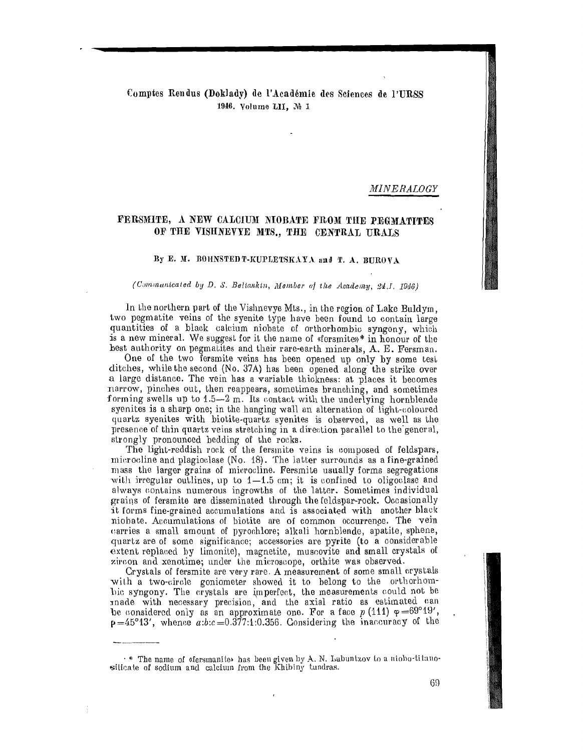## Comptes Rendus (Doklady) de l'Académie des Sciences de l'URSS 1946. Volume LII, No 1

*MINERALOGY* 

# FERSMITE, A NEW CALCIUM NIOBATE FROM THE PEGMATITES OF THE VISHNEVYE MTS., THE CENTRAL URALS

### By E. M. BOHNSTED T-KUPLETSKAYA and T. A. BUROVA

#### (Communicated by D. S. Beliankin, Member of the Academy, 24.J. 1946)

In the northern part of the Vishnevye Mts., in the region of Lake Buldym, two pegmatite veins of the syenite type have been found to contain large quantities of a black calcium niobate of orthorhombic syngony, which is a new mineral. We suggest for it the name of «fersmite»\* in honour of the best authority on pegmatites and their rare-earth minerals, A. E. Fersman.

One of the two fersmite veins has been opened up only by some test ditches, while the second (No. 37A) has been opened along the strike over a large distance. The vein has a variable thickness: at places it becomes narrow, pinches out, then reappears, sometimes branching, and sometimes forming swells up to 1.5-2 m. Its contact with the underlying hornblende syenites is a sharp one; in the hanging wall an alternation of light-coloured quartz syenites with biotite-quartz syenites is observed, as well as the presence of thin quartz veins stretching in a direction parallel to the general, strongly pronounced bedding of the rocks.

The light-reddish rock of the fersmite veins is composed of feldspars, microcline and plagioclase (No. 18). The latter surrounds as a fine-grained mass the larger grains of microcline. Fersmite usually forms segregations with irregular outlines, up to  $1-1.5$  cm; it is confined to oligoclase and always contains numerous ingrowths of the latter. Sometimes individual grains of fersmite are disseminated through the feldspar-rock. Occasionally it forms fine-grained accumulations and is associated with another black niobate. Accumulations of biotite are of common occurrence. The vein carries a small amount of pyrochlore; alkali hornblende, apatite, sphene, quartz are of some significance; accessories are pyrite (to a considerable extent replaced by limonite), magnetite, muscovite and small crystals of zircon and xenotime; under the microscope, orthite was observed.

Crystals of fersmite are very rare. A measurement of some small crystals with a two-circle goniometer showed it to belong to the orthorhomhic syngony. The crystals are imperfect, the measurements could not be made with necessary precision, and the axial ratio as estimated can be considered only as an approximate one. For a face  $p(111) \varphi = 69^{\circ}19'$ ,  $p=45^{\circ}13'$ , whence  $a:b:c=0.377:1:0.356$ . Considering the inaccuracy of the

 $\cdot$  \* The name of «fersmanite» has been given by A. N. Labuntzov to a nioho-titanosilicate of sodium and calcium from the Khibiny tundras.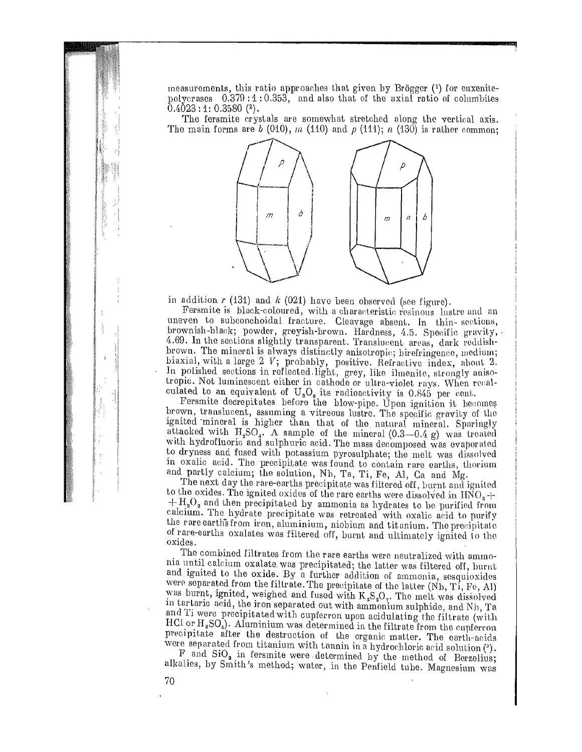measurements, this ratio approaches that given by Brögger  $(1)$  for euxenitepolycrases  $0.379:1:0.353$ , and also that of the axial ratio of columbites  $0.4023:1:0.3580$  (<sup>2</sup>). measurements, this ratio approaches that given by Brögger (<sup>1</sup>) for euxenite-<br>polycrases  $0.379:1:0.353$ , and also that of the axial ratio of columbites<br>0.4023:1: 0.3580 (<sup>2</sup>).<br>The fersmite crystals are somewhat stretched

The main forms are  $b(010)$ ,  $m(110)$  and  $p(111)$ ;  $n(130)$  is rather common;



in addition  $r$  (131) and  $k$  (021) have been observed (see figure).

Fersmite is black-coloured, with a characteristic resinous lustre and an uneven to subconchoidal fracture. Cleavage absent. In thin-sections, brownish-black; powder, greyish-brown. Hardness, 4.5. Specific gravity, 4.69. In the sections slightly transparent. Translucent areas, dark reddishbrown. The mineral is always distinctly anisotropic; birefringence, medium; biaxial, with a large  $2$  V; probably, positive. Refractive index, about  $2$ . In polished sections in reflected light, grey, like ilmenite, strongly anisotropic. Not luminescent either in eathode or ultra-violet rays. When renalculated to an equivalent of  $U_aO_s$  its radioactivity is 0.845 per cent.

Fersmite decrepitates before the blow-pipe. Upon ignition it becomes brown, translucent, assuming a vitreous lustre. The specific gravity of the ignited 'mineral is higher than that of the natural mineral. Sparingly attacked with  $H_2SO_4$ . A sample of the mineral  $(0.3-0.4 \text{ g})$  was treated with hydrofluoric and sulphuric acid. The mass decomposed was evaporated to dryness and fused with potassium pyrosulphate; the melt was dissolved in oxalic acid. The precipitate was found to contain rare earths, thorium and partly calcium; the solution, Nb, Ta, Ti, Fe, Al, Ca and Mg.

The next day the rare-earths precipitate was filtered off, burnt and ignited to the oxides. The ignited oxides of the rare earths were dissolved in  $HNO<sub>3</sub>$  - $+H_{2}O_{2}$  and then precipitated by ammonia as hydrates to be purified from calcium. The hydrate precipitate was retreated with oxalic acid to purify the rare earths from iron, aluminium, niobium and titanium. The precipitate of rare-earths oxalates was filtered off, burnt and ultimately ignited to the oxides.

The combined filtrates from the rare earths were neutralized with ammonia until calcium oxalate. was precipitated; the latter was filtered off, burnt and ignited to the oxide. By a further addition of ammonia, sesquioxides were separated from the filtrate. The precipitate of the latter (Nb, Ti, Fe, Al) was burnt, ignited, weighed and fused with  $K_2S_2O_7$ . The melt was dissolved in tartaric acid, the iron separated out with ammonium sulphide, and Nh, Ta and Ti were precipitated with cupferron upon acidulating the filtrate (with HCl or  $H_2SO_4$ ). Aluminium was determined in the filtrate from the cupferron precipitate after the destruction of the organic matter. The earth-acids were separated from titanium with tannin in a hydrochloric acid solution (").

 $F$  and  $SiO<sub>2</sub>$  in fersmite were determined by the method of Berzelius; alkalies, by Smith's method; water, in the Penfield tube. Magnesium was